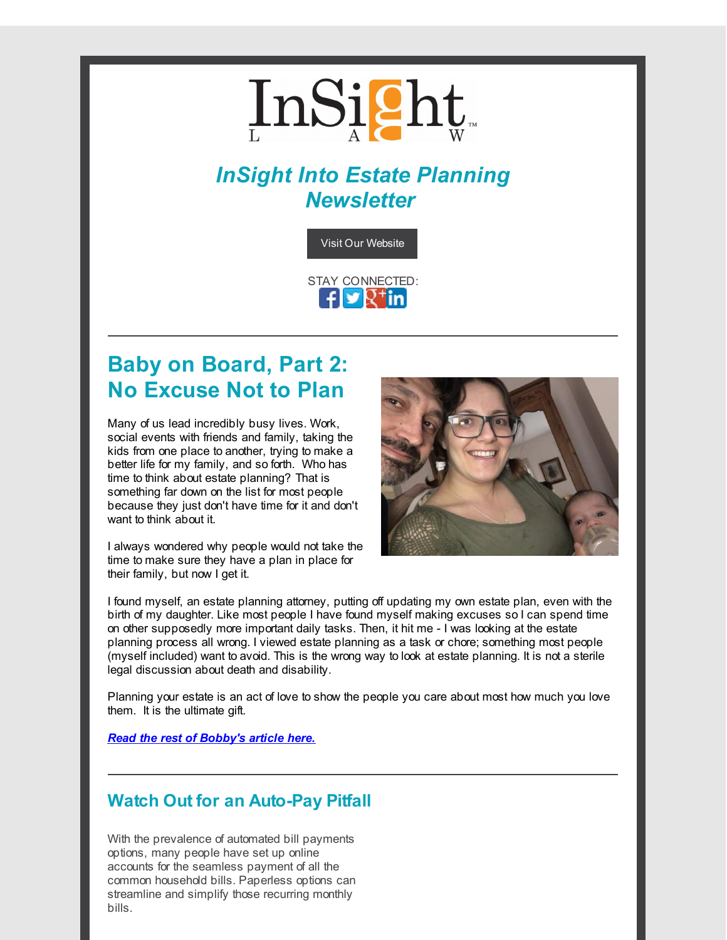# InSight

# *InSight Into Estate Planning Newsletter*



# **Baby on Board, Part 2: No Excuse Not to Plan**

Many of us lead incredibly busy lives. Work, social events with friends and family, taking the kids from one place to another, trying to make a better life for my family, and so forth. Who has time to think about estate planning? That is something far down on the list for most people because they just don't have time for it and don't want to think about it.

I always wondered why people would not take the time to make sure they have a plan in place for their family, but now I get it.



I found myself, an estate planning attorney, putting off updating my own estate plan, even with the birth of my daughter. Like most people I have found myself making excuses so I can spend time on other supposedly more important daily tasks. Then, it hit me - I was looking at the estate planning process all wrong. I viewed estate planning as a task or chore; something most people (myself included) want to avoid. This is the wrong way to look at estate planning. It is not a sterile legal discussion about death and disability.

Planning your estate is an act of love to show the people you care about most how much you love them. It is the ultimate gift.

*Read the rest of [Bobby's](http://r20.rs6.net/tn.jsp?f=001ogIE65ZDOSvsu5r4CpooDm44dJ_gYsghCdJxYmE-gZUosd3zVipAejPfczsRu5tJFJsAKNfRhNKrpZdx5UwR0eT3VfdRe5qdNW5-PK9cEOCiEQVloJNGgSuY2TbcIjGCuIWbh7DbDWJIjM1v5fpLn7z0JBndMQDPwRTjfrjDXInmRcP2Atn7NleB17QOvuUiYtqFhbN8QFkKBn7aHgs621FVHfEO4JDlvF6Cs8Li3HXrOMExAWNULw0fYAqe5C3B2vaTRcblBQvLxT1VIvsGRI7wPr3RQXgufYHIAMREThuTt8Segcz8E9w36b-SmdZuhiAK3Mwb1cuRl469eLNqtBEWL5s1NyTlKJE_EAkHISXjMSke-RWOwnWl0YaLxMirtLyKdSWoANxiaOHOg1oM1PbaMg1wN8qKbaCDavrvp8E=&c=&ch=) article here.*

## **Watch Out for an Auto-Pay Pitfall**

With the prevalence of automated bill payments options, many people have set up online accounts for the seamless payment of all the common household bills. Paperless options can streamline and simplify those recurring monthly bills.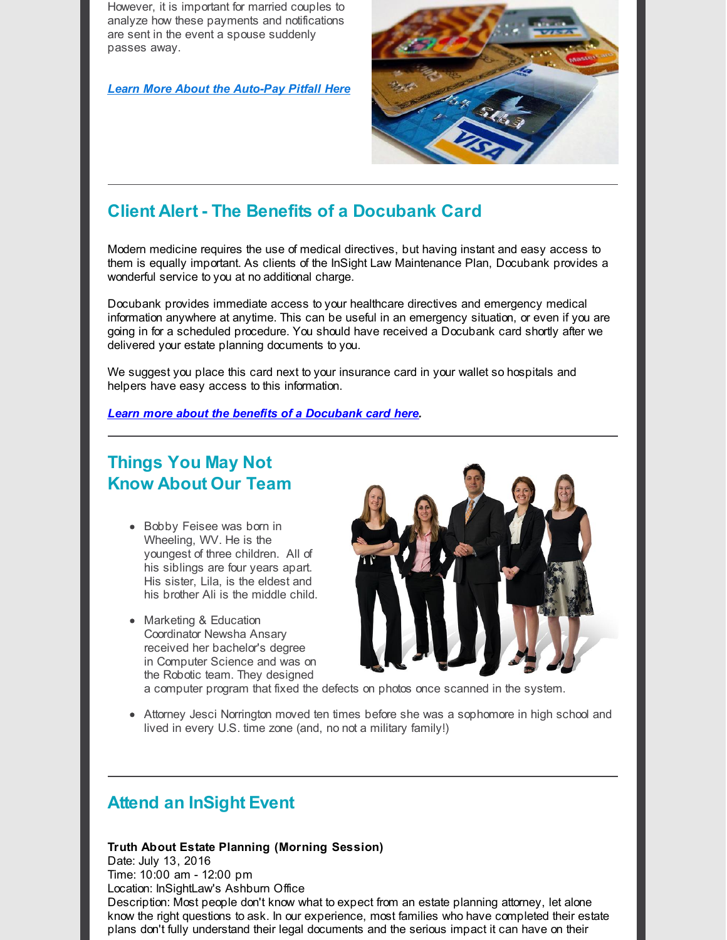However, it is important for married couples to analyze how these payments and notifications are sent in the event a spouse suddenly passes away.

*Learn More About the [Auto-Pay](http://r20.rs6.net/tn.jsp?f=001ogIE65ZDOSvsu5r4CpooDm44dJ_gYsghCdJxYmE-gZUosd3zVipAejPfczsRu5tJkTWQ24WcXLvsCc_6NKnJiYIPQBElvDR0vX-Z1j2nJhoUqZ_A6PG9yJfVYh722zE3_-QaX9zhFmYvWRB5zuWvSol8AAfMRU2F0dik5xWZIwPko0w2pRKEF0myLb2EKQJmcTavv8ouJy6C72Ckk58WPJDGH_IZchdTFyeHsqBL2mPkmvAeVznLtrWkydPiMfgDRPjTkdoZ4bWPyG51i9n8ijICBX7QrnqqPrgnfpQMQfW2YIMZpCwp0dnUdvoD6k0swbrqZYM-zt3mNtlv99rY60bTGHNRqu43452EiLdwoGJQBmL-Y3FDf9qRL6Z-Gpcze77T-fhVkTpQxbgpILKMYCqkCFQKvonjj7tdJ_UmQusdFxDl59o1NGamkcvfW948&c=&ch=) Pitfall Here*



# **Client Alert - The Benefits of a Docubank Card**

Modern medicine requires the use of medical directives, but having instant and easy access to them is equally important. As clients of the InSight Law Maintenance Plan, Docubank provides a wonderful service to you at no additional charge.

Docubank provides immediate access to your healthcare directives and emergency medical information anywhere at anytime. This can be useful in an emergency situation, or even if you are going in for a scheduled procedure. You should have received a Docubank card shortly after we delivered your estate planning documents to you.

We suggest you place this card next to your insurance card in your wallet so hospitals and helpers have easy access to this information.

#### *Learn more about the benefits of a [Docubank](http://r20.rs6.net/tn.jsp?f=001ogIE65ZDOSvsu5r4CpooDm44dJ_gYsghCdJxYmE-gZUosd3zVipAejPfczsRu5tJ0nguAiAo2AWGoiZFTfQJEu3NoBYNIrlZH3Vt0D7zX3xebTtekeTinivd5wfRS4IfyWqmpVNWAI8OeXJk0xLpwWa8gVrzkQd6RABple6OOVNE27oBs5QzdG6czB4_xJLm0Cqr52V44yBgDCEPnmGbtrVzMaGmXv7JNpO2J1WiyClD6M4ZucFAFS94o2OMA7NhVQWjgi3833YWIKbx1YByhWvAU95ZI5BPfy038pmUkiqjJydjWM7Ppaxm1E8keSEVRDr1SUN11fBtXiB9qAQzyjlb7hrO5QpfTIGYuVaIUG31j6Cj3M39A__wvlPpMbVKYudNxW9kHl7WI4dc4DuM0_s5WFR1xPUfRpPiHpC3H_vax8G2Cgx57w==&c=&ch=) card here.*

## **Things You May Not Know About Our Team**

- Bobby Feisee was born in Wheeling, WV. He is the youngest of three children. All of his siblings are four years apart. His sister, Lila, is the eldest and his brother Ali is the middle child.
- Marketing & Education Coordinator Newsha Ansary received her bachelor's degree in Computer Science and was on the Robotic team. They designed



a computer program that fixed the defects on photos once scanned in the system.

• Attorney Jesci Norrington moved ten times before she was a sophomore in high school and lived in every U.S. time zone (and, no not a military family!)

### **Attend an InSight Event**

#### **Truth About Estate Planning (Morning Session)**

Date: July 13, 2016 Time: 10:00 am - 12:00 pm

Location: InSightLaw's Ashburn Office

Description: Most people don't know what to expect from an estate planning attorney, let alone know the right questions to ask. In our experience, most families who have completed their estate plans don't fully understand their legal documents and the serious impact it can have on their